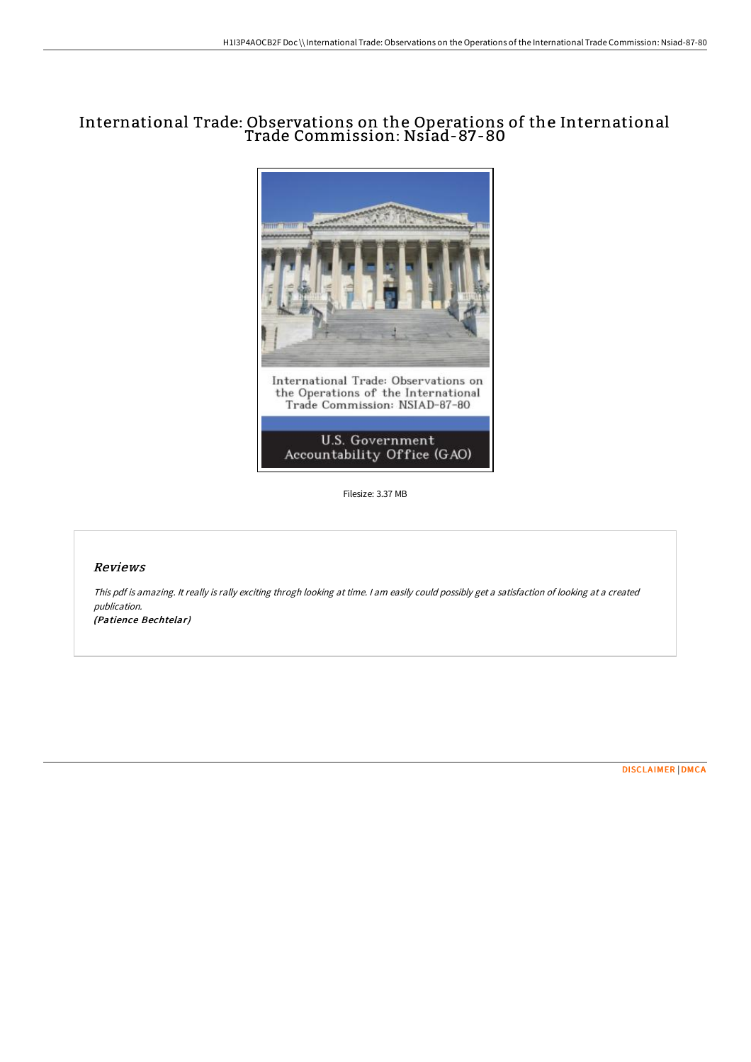# International Trade: Observations on the Operations of the International Trade Commission: Nsiad-87-80



Filesize: 3.37 MB

### Reviews

This pdf is amazing. It really is rally exciting throgh looking at time. <sup>I</sup> am easily could possibly get <sup>a</sup> satisfaction of looking at <sup>a</sup> created publication. (Patience Bechtelar)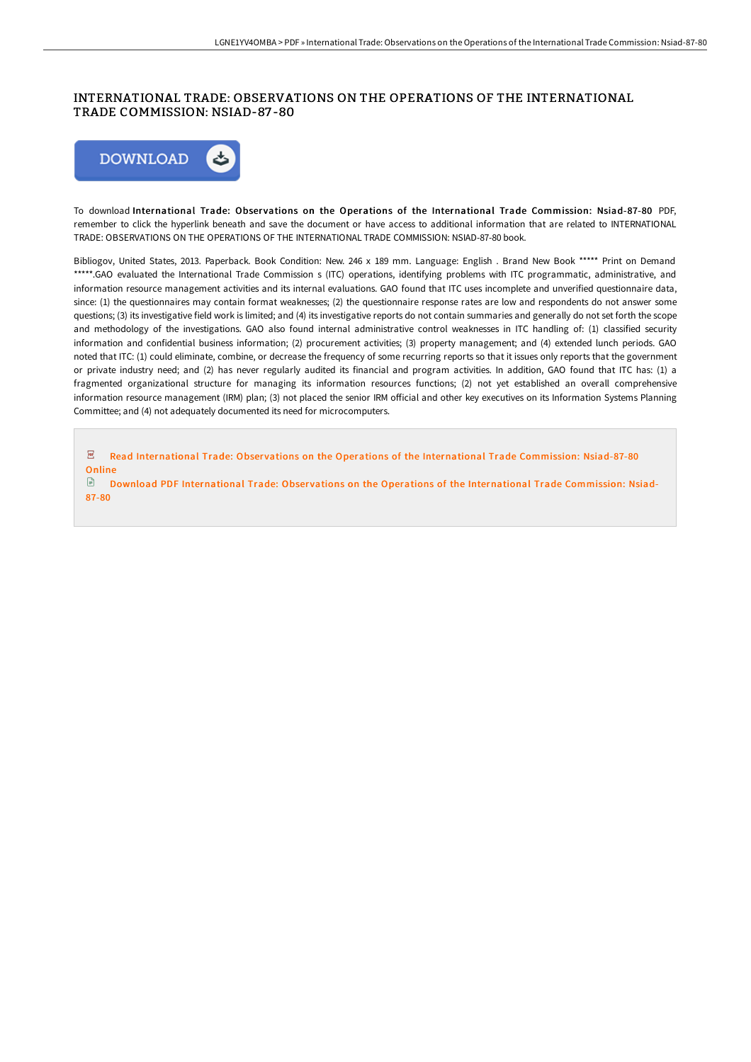### INTERNATIONAL TRADE: OBSERVATIONS ON THE OPERATIONS OF THE INTERNATIONAL TRADE COMMISSION: NSIAD-87 -80



To download International Trade: Observations on the Operations of the International Trade Commission: Nsiad-87-80 PDF, remember to click the hyperlink beneath and save the document or have access to additional information that are related to INTERNATIONAL TRADE: OBSERVATIONS ON THE OPERATIONS OF THE INTERNATIONAL TRADE COMMISSION: NSIAD-87-80 book.

Bibliogov, United States, 2013. Paperback. Book Condition: New. 246 x 189 mm. Language: English . Brand New Book \*\*\*\*\* Print on Demand \*\*\*\*\*.GAO evaluated the International Trade Commission s (ITC) operations, identifying problems with ITC programmatic, administrative, and information resource management activities and its internal evaluations. GAO found that ITC uses incomplete and unverified questionnaire data, since: (1) the questionnaires may contain format weaknesses; (2) the questionnaire response rates are low and respondents do not answer some questions; (3) its investigative field work is limited; and (4) its investigative reports do not contain summaries and generally do not set forth the scope and methodology of the investigations. GAO also found internal administrative control weaknesses in ITC handling of: (1) classified security information and confidential business information; (2) procurement activities; (3) property management; and (4) extended lunch periods. GAO noted that ITC: (1) could eliminate, combine, or decrease the frequency of some recurring reports so that it issues only reports that the government or private industry need; and (2) has never regularly audited its financial and program activities. In addition, GAO found that ITC has: (1) a fragmented organizational structure for managing its information resources functions; (2) not yet established an overall comprehensive information resource management (IRM) plan; (3) not placed the senior IRM official and other key executives on its Information Systems Planning Committee; and (4) not adequately documented its need for microcomputers.

 $\overline{\mathbf{P}^{\mathbf{D}\mathbf{F}}}$ Read [International](http://www.bookdirs.com/international-trade-observations-on-the-operatio.html) Trade: Observations on the Operations of the International Trade Commission: Nsiad-87-80 **Online** 

Download PDF [International](http://www.bookdirs.com/international-trade-observations-on-the-operatio.html) Trade: Observations on the Operations of the International Trade Commission: Nsiad-87-80